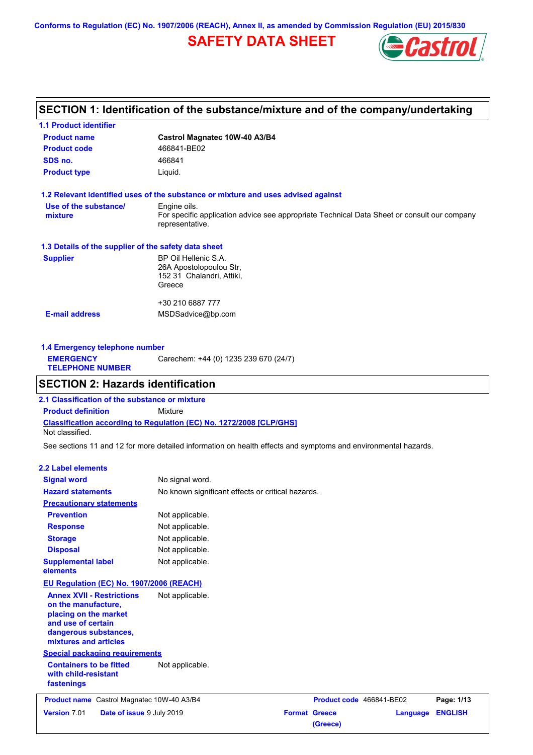**Conforms to Regulation (EC) No. 1907/2006 (REACH), Annex II, as amended by Commission Regulation (EU) 2015/830**

# **SAFETY DATA SHEET**



# **SECTION 1: Identification of the substance/mixture and of the company/undertaking**

| <b>1.1 Product identifier</b>                        |                                                                                                                                |  |  |
|------------------------------------------------------|--------------------------------------------------------------------------------------------------------------------------------|--|--|
| <b>Product name</b>                                  | Castrol Magnatec 10W-40 A3/B4                                                                                                  |  |  |
| <b>Product code</b>                                  | 466841-BE02                                                                                                                    |  |  |
| SDS no.                                              | 466841                                                                                                                         |  |  |
| <b>Product type</b>                                  | Liquid.                                                                                                                        |  |  |
|                                                      | 1.2 Relevant identified uses of the substance or mixture and uses advised against                                              |  |  |
| Use of the substance/<br>mixture                     | Engine oils.<br>For specific application advice see appropriate Technical Data Sheet or consult our company<br>representative. |  |  |
| 1.3 Details of the supplier of the safety data sheet |                                                                                                                                |  |  |
| <b>Supplier</b>                                      | BP Oil Hellenic S.A.<br>26A Apostolopoulou Str,<br>152 31 Chalandri, Attiki,<br>Greece                                         |  |  |
|                                                      | +30 210 6887 777                                                                                                               |  |  |
|                                                      |                                                                                                                                |  |  |

**1.4 Emergency telephone number EMERGENCY TELEPHONE NUMBER** Carechem: +44 (0) 1235 239 670 (24/7)

# **SECTION 2: Hazards identification**

**Classification according to Regulation (EC) No. 1272/2008 [CLP/GHS] 2.1 Classification of the substance or mixture Product definition** Mixture Not classified.

See sections 11 and 12 for more detailed information on health effects and symptoms and environmental hazards.

### **2.2 Label elements**

| <b>Signal word</b>                                                                                                                                       | No signal word.                                   |                                  |                          |                |
|----------------------------------------------------------------------------------------------------------------------------------------------------------|---------------------------------------------------|----------------------------------|--------------------------|----------------|
| <b>Hazard statements</b>                                                                                                                                 | No known significant effects or critical hazards. |                                  |                          |                |
| <b>Precautionary statements</b>                                                                                                                          |                                                   |                                  |                          |                |
| <b>Prevention</b>                                                                                                                                        | Not applicable.                                   |                                  |                          |                |
| <b>Response</b>                                                                                                                                          | Not applicable.                                   |                                  |                          |                |
| <b>Storage</b>                                                                                                                                           | Not applicable.                                   |                                  |                          |                |
| <b>Disposal</b>                                                                                                                                          | Not applicable.                                   |                                  |                          |                |
| <b>Supplemental label</b><br>elements                                                                                                                    | Not applicable.                                   |                                  |                          |                |
| EU Regulation (EC) No. 1907/2006 (REACH)                                                                                                                 |                                                   |                                  |                          |                |
| <b>Annex XVII - Restrictions</b><br>on the manufacture.<br>placing on the market<br>and use of certain<br>dangerous substances,<br>mixtures and articles | Not applicable.                                   |                                  |                          |                |
| <b>Special packaging requirements</b>                                                                                                                    |                                                   |                                  |                          |                |
| <b>Containers to be fitted</b><br>with child-resistant<br>fastenings                                                                                     | Not applicable.                                   |                                  |                          |                |
| Product name Castrol Magnatec 10W-40 A3/B4                                                                                                               |                                                   |                                  | Product code 466841-BE02 | Page: 1/13     |
| Version 7.01<br>Date of issue 9 July 2019                                                                                                                |                                                   | <b>Format Greece</b><br>(Greece) | Language                 | <b>ENGLISH</b> |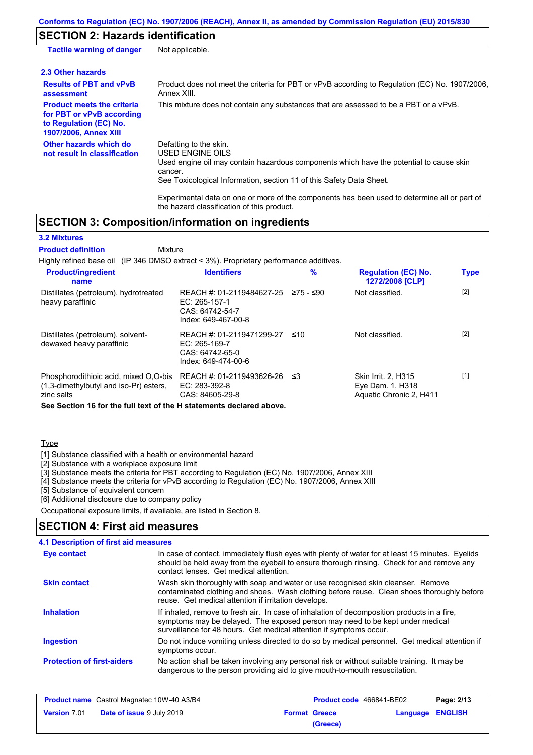# **SECTION 2: Hazards identification**

| <b>Tactile warning of danger</b>                                                                                         | Not applicable.                                                                                                                                                                                                          |  |  |
|--------------------------------------------------------------------------------------------------------------------------|--------------------------------------------------------------------------------------------------------------------------------------------------------------------------------------------------------------------------|--|--|
| 2.3 Other hazards                                                                                                        |                                                                                                                                                                                                                          |  |  |
| <b>Results of PBT and vPvB</b><br>assessment                                                                             | Product does not meet the criteria for PBT or vPvB according to Regulation (EC) No. 1907/2006,<br>Annex XIII.                                                                                                            |  |  |
| <b>Product meets the criteria</b><br>for PBT or vPvB according<br>to Regulation (EC) No.<br><b>1907/2006, Annex XIII</b> | This mixture does not contain any substances that are assessed to be a PBT or a vPvB.                                                                                                                                    |  |  |
| Other hazards which do<br>not result in classification                                                                   | Defatting to the skin.<br>USED ENGINE OILS<br>Used engine oil may contain hazardous components which have the potential to cause skin<br>cancer.<br>See Toxicological Information, section 11 of this Safety Data Sheet. |  |  |
|                                                                                                                          | المصادر والمستحدث ومشواه والملاحمات وممارسهما والمتوجود والمتعارض ومحمود ومحاوره والماح الماروم والمستحدثات                                                                                                              |  |  |

Experimental data on one or more of the components has been used to determine all or part of the hazard classification of this product.

# **SECTION 3: Composition/information on ingredients**

Mixture

#### **3.2 Mixtures**

**Product definition**

Highly refined base oil (IP 346 DMSO extract < 3%). Proprietary performance additives.

| <b>Product/ingredient</b><br>name                                                                                                                                       | <b>Identifiers</b>                                                                     | $\%$      | <b>Regulation (EC) No.</b><br>1272/2008 [CLP]                      | <b>Type</b> |
|-------------------------------------------------------------------------------------------------------------------------------------------------------------------------|----------------------------------------------------------------------------------------|-----------|--------------------------------------------------------------------|-------------|
| Distillates (petroleum), hydrotreated<br>heavy paraffinic                                                                                                               | REACH #: 01-2119484627-25<br>$EC: 265-157-1$<br>CAS: 64742-54-7<br>Index: 649-467-00-8 | 275 - ≤90 | Not classified.                                                    | $[2]$       |
| Distillates (petroleum), solvent-<br>dewaxed heavy paraffinic                                                                                                           | REACH #: 01-2119471299-27<br>EC: $265-169-7$<br>CAS: 64742-65-0<br>Index: 649-474-00-6 | ≤10       | Not classified.                                                    | $[2]$       |
| Phosphorodithioic acid, mixed O.O-bis<br>(1,3-dimethylbutyl and iso-Pr) esters,<br>zinc salts<br>One Onether 40 families full tout of the History and a dealersed above | REACH #: 01-2119493626-26<br>$EC: 283-392-8$<br>CAS: 84605-29-8                        | ב≥        | Skin Irrit. 2, H315<br>Eye Dam. 1, H318<br>Aquatic Chronic 2, H411 | $[1]$       |

**See Section 16 for the full text of the H statements declared above.**

## **Type**

[1] Substance classified with a health or environmental hazard

[2] Substance with a workplace exposure limit

[3] Substance meets the criteria for PBT according to Regulation (EC) No. 1907/2006, Annex XIII

[4] Substance meets the criteria for vPvB according to Regulation (EC) No. 1907/2006, Annex XIII

[5] Substance of equivalent concern

[6] Additional disclosure due to company policy

Occupational exposure limits, if available, are listed in Section 8.

# **SECTION 4: First aid measures**

### **4.1 Description of first aid measures**

| Eye contact                       | In case of contact, immediately flush eyes with plenty of water for at least 15 minutes. Eyelids<br>should be held away from the eyeball to ensure thorough rinsing. Check for and remove any<br>contact lenses. Get medical attention.             |
|-----------------------------------|-----------------------------------------------------------------------------------------------------------------------------------------------------------------------------------------------------------------------------------------------------|
| <b>Skin contact</b>               | Wash skin thoroughly with soap and water or use recognised skin cleanser. Remove<br>contaminated clothing and shoes. Wash clothing before reuse. Clean shoes thoroughly before<br>reuse. Get medical attention if irritation develops.              |
| <b>Inhalation</b>                 | If inhaled, remove to fresh air. In case of inhalation of decomposition products in a fire,<br>symptoms may be delayed. The exposed person may need to be kept under medical<br>surveillance for 48 hours. Get medical attention if symptoms occur. |
| <b>Ingestion</b>                  | Do not induce vomiting unless directed to do so by medical personnel. Get medical attention if<br>symptoms occur.                                                                                                                                   |
| <b>Protection of first-aiders</b> | No action shall be taken involving any personal risk or without suitable training. It may be<br>dangerous to the person providing aid to give mouth-to-mouth resuscitation.                                                                         |

|                     | <b>Product name</b> Castrol Magnatec 10W-40 A3/B4 | <b>Product code</b> 466841-BE02 |                         | Page: 2/13 |
|---------------------|---------------------------------------------------|---------------------------------|-------------------------|------------|
| <b>Version 7.01</b> | <b>Date of issue 9 July 2019</b>                  | <b>Format Greece</b>            | <b>Language ENGLISH</b> |            |
|                     |                                                   | (Greece)                        |                         |            |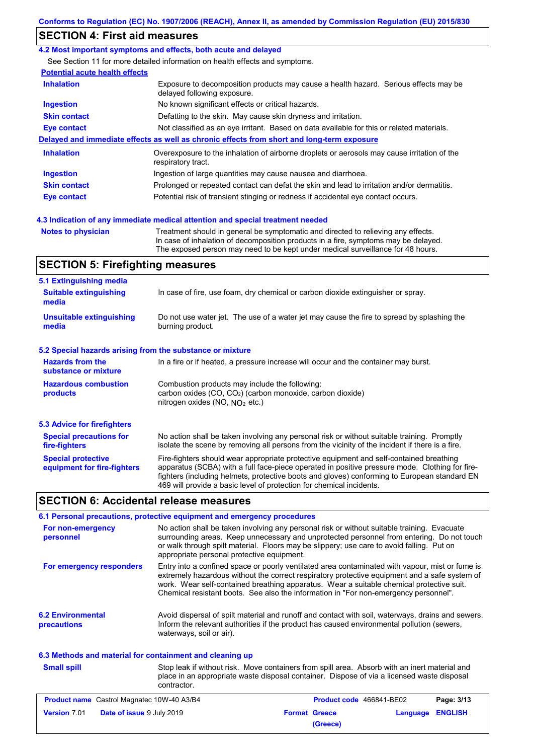# **SECTION 4: First aid measures**

## **4.2 Most important symptoms and effects, both acute and delayed**

See Section 11 for more detailed information on health effects and symptoms.

## **Potential acute health effects**

| <b>Inhalation</b>   | Exposure to decomposition products may cause a health hazard. Serious effects may be<br>delayed following exposure. |  |  |
|---------------------|---------------------------------------------------------------------------------------------------------------------|--|--|
| <b>Ingestion</b>    | No known significant effects or critical hazards.                                                                   |  |  |
| <b>Skin contact</b> | Defatting to the skin. May cause skin dryness and irritation.                                                       |  |  |
| Eye contact         | Not classified as an eye irritant. Based on data available for this or related materials.                           |  |  |
|                     | Delayed and immediate effects as well as chronic effects from short and long-term exposure                          |  |  |
| <b>Inhalation</b>   | Overexposure to the inhalation of airborne droplets or aerosols may cause irritation of the<br>respiratory tract.   |  |  |
| <b>Ingestion</b>    | Ingestion of large quantities may cause nausea and diarrhoea.                                                       |  |  |
| <b>Skin contact</b> | Prolonged or repeated contact can defat the skin and lead to irritation and/or dermatitis.                          |  |  |
| <b>Eye contact</b>  | Potential risk of transient stinging or redness if accidental eye contact occurs.                                   |  |  |
|                     |                                                                                                                     |  |  |

## **4.3 Indication of any immediate medical attention and special treatment needed**

**Version** 7.01

**Notes to physician** Treatment should in general be symptomatic and directed to relieving any effects. In case of inhalation of decomposition products in a fire, symptoms may be delayed. The exposed person may need to be kept under medical surveillance for 48 hours.

# **SECTION 5: Firefighting measures**

| 5.1 Extinguishing media                                                                                                                                                                      |                                                                                                                                                                                                                                                                                                                                                                   |  |
|----------------------------------------------------------------------------------------------------------------------------------------------------------------------------------------------|-------------------------------------------------------------------------------------------------------------------------------------------------------------------------------------------------------------------------------------------------------------------------------------------------------------------------------------------------------------------|--|
| <b>Suitable extinguishing</b><br>media                                                                                                                                                       | In case of fire, use foam, dry chemical or carbon dioxide extinguisher or spray.                                                                                                                                                                                                                                                                                  |  |
| <b>Unsuitable extinguishing</b><br>media                                                                                                                                                     | Do not use water jet. The use of a water jet may cause the fire to spread by splashing the<br>burning product.                                                                                                                                                                                                                                                    |  |
| 5.2 Special hazards arising from the substance or mixture                                                                                                                                    |                                                                                                                                                                                                                                                                                                                                                                   |  |
| <b>Hazards from the</b><br>substance or mixture                                                                                                                                              | In a fire or if heated, a pressure increase will occur and the container may burst.                                                                                                                                                                                                                                                                               |  |
| <b>Hazardous combustion</b><br>Combustion products may include the following:<br>carbon oxides $(CO, CO2)$ (carbon monoxide, carbon dioxide)<br>products<br>nitrogen oxides (NO, $NO2$ etc.) |                                                                                                                                                                                                                                                                                                                                                                   |  |
| 5.3 Advice for firefighters                                                                                                                                                                  |                                                                                                                                                                                                                                                                                                                                                                   |  |
| <b>Special precautions for</b><br>fire-fighters                                                                                                                                              | No action shall be taken involving any personal risk or without suitable training. Promptly<br>isolate the scene by removing all persons from the vicinity of the incident if there is a fire.                                                                                                                                                                    |  |
| <b>Special protective</b><br>equipment for fire-fighters                                                                                                                                     | Fire-fighters should wear appropriate protective equipment and self-contained breathing<br>apparatus (SCBA) with a full face-piece operated in positive pressure mode. Clothing for fire-<br>fighters (including helmets, protective boots and gloves) conforming to European standard EN<br>469 will provide a basic level of protection for chemical incidents. |  |

# **SECTION 6: Accidental release measures**

|                                                          | 6.1 Personal precautions, protective equipment and emergency procedures                                                                                                                                                                                                                                                                                                              |  |  |
|----------------------------------------------------------|--------------------------------------------------------------------------------------------------------------------------------------------------------------------------------------------------------------------------------------------------------------------------------------------------------------------------------------------------------------------------------------|--|--|
| For non-emergency<br>personnel                           | No action shall be taken involving any personal risk or without suitable training. Evacuate<br>surrounding areas. Keep unnecessary and unprotected personnel from entering. Do not touch<br>or walk through spilt material. Floors may be slippery; use care to avoid falling. Put on<br>appropriate personal protective equipment.                                                  |  |  |
| For emergency responders                                 | Entry into a confined space or poorly ventilated area contaminated with vapour, mist or fume is<br>extremely hazardous without the correct respiratory protective equipment and a safe system of<br>work. Wear self-contained breathing apparatus. Wear a suitable chemical protective suit.<br>Chemical resistant boots. See also the information in "For non-emergency personnel". |  |  |
| <b>6.2 Environmental</b><br>precautions                  | Avoid dispersal of spilt material and runoff and contact with soil, waterways, drains and sewers.<br>Inform the relevant authorities if the product has caused environmental pollution (sewers,<br>waterways, soil or air).                                                                                                                                                          |  |  |
| 6.3 Methods and material for containment and cleaning up |                                                                                                                                                                                                                                                                                                                                                                                      |  |  |
| <b>Small spill</b>                                       | Stop leak if without risk. Move containers from spill area. Absorb with an inert material and<br>place in an appropriate waste disposal container. Dispose of via a licensed waste disposal<br>contractor.                                                                                                                                                                           |  |  |
| <b>Product name</b> Castrol Magnatec 10W-40 A3/B4        | <b>Product code</b> 466841-BE02<br>Page: 3/13                                                                                                                                                                                                                                                                                                                                        |  |  |

**Date of issue** 9 July 2019 **Format Greece Language ENGLISH**

**(Greece)**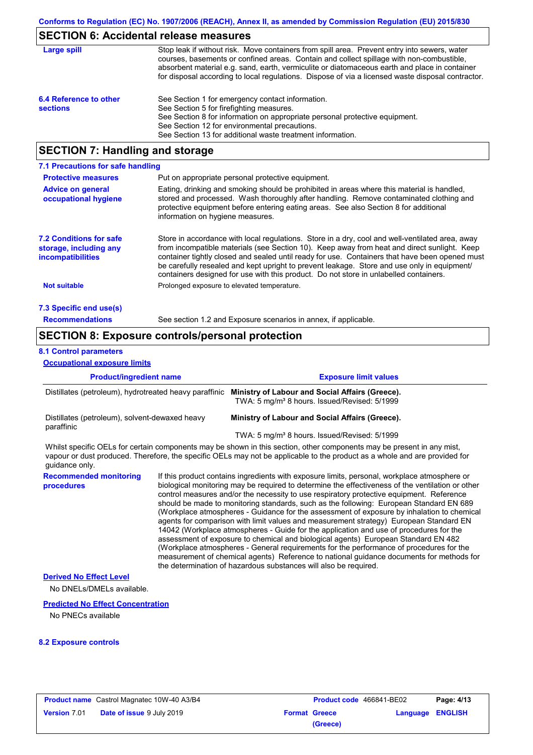# **SECTION 6: Accidental release measures**

| Large spill                               | Stop leak if without risk. Move containers from spill area. Prevent entry into sewers, water<br>courses, basements or confined areas. Contain and collect spillage with non-combustible,<br>absorbent material e.g. sand, earth, vermiculite or diatomaceous earth and place in container<br>for disposal according to local regulations. Dispose of via a licensed waste disposal contractor. |
|-------------------------------------------|------------------------------------------------------------------------------------------------------------------------------------------------------------------------------------------------------------------------------------------------------------------------------------------------------------------------------------------------------------------------------------------------|
| 6.4 Reference to other<br><b>sections</b> | See Section 1 for emergency contact information.<br>See Section 5 for firefighting measures.<br>See Section 8 for information on appropriate personal protective equipment.<br>See Section 12 for environmental precautions.<br>See Section 13 for additional waste treatment information.                                                                                                     |

# **SECTION 7: Handling and storage**

| 7.1 Precautions for safe handling                                                    |                                                                                                                                                                                                                                                                                                                                                                                                                                                                                          |
|--------------------------------------------------------------------------------------|------------------------------------------------------------------------------------------------------------------------------------------------------------------------------------------------------------------------------------------------------------------------------------------------------------------------------------------------------------------------------------------------------------------------------------------------------------------------------------------|
| <b>Protective measures</b>                                                           | Put on appropriate personal protective equipment.                                                                                                                                                                                                                                                                                                                                                                                                                                        |
| <b>Advice on general</b><br>occupational hygiene                                     | Eating, drinking and smoking should be prohibited in areas where this material is handled,<br>stored and processed. Wash thoroughly after handling. Remove contaminated clothing and<br>protective equipment before entering eating areas. See also Section 8 for additional<br>information on hygiene measures.                                                                                                                                                                         |
| <b>7.2 Conditions for safe</b><br>storage, including any<br><i>incompatibilities</i> | Store in accordance with local requiations. Store in a dry, cool and well-ventilated area, away<br>from incompatible materials (see Section 10). Keep away from heat and direct sunlight. Keep<br>container tightly closed and sealed until ready for use. Containers that have been opened must<br>be carefully resealed and kept upright to prevent leakage. Store and use only in equipment/<br>containers designed for use with this product. Do not store in unlabelled containers. |
| <b>Not suitable</b>                                                                  | Prolonged exposure to elevated temperature.                                                                                                                                                                                                                                                                                                                                                                                                                                              |
| 7.3 Specific end use(s)                                                              |                                                                                                                                                                                                                                                                                                                                                                                                                                                                                          |
| <b>Recommendations</b>                                                               | See section 1.2 and Exposure scenarios in annex, if applicable.                                                                                                                                                                                                                                                                                                                                                                                                                          |

## **SECTION 8: Exposure controls/personal protection**

### **8.1 Control parameters**

**Occupational exposure limits**

| <b>Product/ingredient name</b><br>Distillates (petroleum), hydrotreated heavy paraffinic |                                                                                                                                                                                                                                                                                                                                                                                                                                                                                                                                                                                                                                                                           | <b>Exposure limit values</b>                                                                                                                                                                                                                         |
|------------------------------------------------------------------------------------------|---------------------------------------------------------------------------------------------------------------------------------------------------------------------------------------------------------------------------------------------------------------------------------------------------------------------------------------------------------------------------------------------------------------------------------------------------------------------------------------------------------------------------------------------------------------------------------------------------------------------------------------------------------------------------|------------------------------------------------------------------------------------------------------------------------------------------------------------------------------------------------------------------------------------------------------|
|                                                                                          |                                                                                                                                                                                                                                                                                                                                                                                                                                                                                                                                                                                                                                                                           | Ministry of Labour and Social Affairs (Greece).<br>TWA: 5 mg/m <sup>3</sup> 8 hours. Issued/Revised: 5/1999                                                                                                                                          |
| Distillates (petroleum), solvent-dewaxed heavy<br>paraffinic                             |                                                                                                                                                                                                                                                                                                                                                                                                                                                                                                                                                                                                                                                                           | Ministry of Labour and Social Affairs (Greece).                                                                                                                                                                                                      |
|                                                                                          |                                                                                                                                                                                                                                                                                                                                                                                                                                                                                                                                                                                                                                                                           | TWA: 5 mg/m <sup>3</sup> 8 hours. Issued/Revised: 5/1999                                                                                                                                                                                             |
| quidance only.                                                                           |                                                                                                                                                                                                                                                                                                                                                                                                                                                                                                                                                                                                                                                                           | Whilst specific OELs for certain components may be shown in this section, other components may be present in any mist,<br>vapour or dust produced. Therefore, the specific OELs may not be applicable to the product as a whole and are provided for |
| <b>Recommended monitoring</b><br>procedures                                              | If this product contains ingredients with exposure limits, personal, workplace atmosphere or<br>biological monitoring may be required to determine the effectiveness of the ventilation or other<br>control measures and/or the necessity to use respiratory protective equipment. Reference<br>should be made to monitoring standards, such as the following: European Standard EN 689<br>(Workplace atmospheres - Guidance for the assessment of exposure by inhalation to chemical<br>agents for comparison with limit values and measurement strategy) European Standard EN<br>14042 (Workplace atmospheres - Guide for the application and use of procedures for the |                                                                                                                                                                                                                                                      |

assessment of exposure to chemical and biological agents) European Standard EN 482 (Workplace atmospheres - General requirements for the performance of procedures for the measurement of chemical agents) Reference to national guidance documents for methods for

**Derived No Effect Level**

No DNELs/DMELs available.

#### **Predicted No Effect Concentration**

No PNECs available

### **8.2 Exposure controls**

| <b>Product name</b> Castrol Magnatec 10W-40 A3/B4 |                                  |  | <b>Product code</b> 466841-BE02 |                         | Page: 4/13 |
|---------------------------------------------------|----------------------------------|--|---------------------------------|-------------------------|------------|
| <b>Version 7.01</b>                               | <b>Date of issue 9 July 2019</b> |  | <b>Format Greece</b>            | <b>Language ENGLISH</b> |            |
|                                                   |                                  |  | (Greece)                        |                         |            |

the determination of hazardous substances will also be required.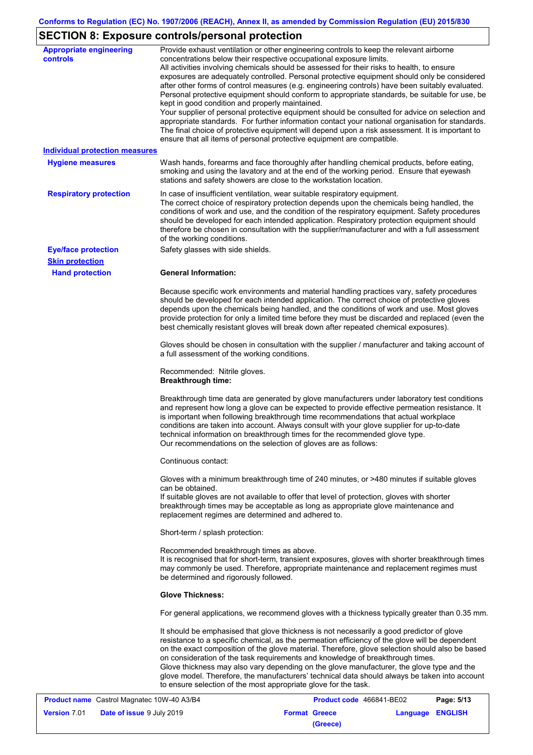# **SECTION 8: Exposure controls/personal protection**

| <b>Appropriate engineering</b>        | Provide exhaust ventilation or other engineering controls to keep the relevant airborne                                                                                                             |
|---------------------------------------|-----------------------------------------------------------------------------------------------------------------------------------------------------------------------------------------------------|
| <b>controls</b>                       | concentrations below their respective occupational exposure limits.                                                                                                                                 |
|                                       | All activities involving chemicals should be assessed for their risks to health, to ensure                                                                                                          |
|                                       | exposures are adequately controlled. Personal protective equipment should only be considered                                                                                                        |
|                                       | after other forms of control measures (e.g. engineering controls) have been suitably evaluated.                                                                                                     |
|                                       | Personal protective equipment should conform to appropriate standards, be suitable for use, be                                                                                                      |
|                                       | kept in good condition and properly maintained.                                                                                                                                                     |
|                                       | Your supplier of personal protective equipment should be consulted for advice on selection and                                                                                                      |
|                                       | appropriate standards. For further information contact your national organisation for standards.<br>The final choice of protective equipment will depend upon a risk assessment. It is important to |
|                                       | ensure that all items of personal protective equipment are compatible.                                                                                                                              |
| <b>Individual protection measures</b> |                                                                                                                                                                                                     |
|                                       |                                                                                                                                                                                                     |
| <b>Hygiene measures</b>               | Wash hands, forearms and face thoroughly after handling chemical products, before eating,                                                                                                           |
|                                       | smoking and using the lavatory and at the end of the working period. Ensure that eyewash<br>stations and safety showers are close to the workstation location.                                      |
|                                       |                                                                                                                                                                                                     |
| <b>Respiratory protection</b>         | In case of insufficient ventilation, wear suitable respiratory equipment.                                                                                                                           |
|                                       | The correct choice of respiratory protection depends upon the chemicals being handled, the                                                                                                          |
|                                       | conditions of work and use, and the condition of the respiratory equipment. Safety procedures                                                                                                       |
|                                       | should be developed for each intended application. Respiratory protection equipment should                                                                                                          |
|                                       | therefore be chosen in consultation with the supplier/manufacturer and with a full assessment                                                                                                       |
|                                       | of the working conditions.                                                                                                                                                                          |
| <b>Eye/face protection</b>            | Safety glasses with side shields.                                                                                                                                                                   |
| <b>Skin protection</b>                |                                                                                                                                                                                                     |
| <b>Hand protection</b>                | <b>General Information:</b>                                                                                                                                                                         |
|                                       | Because specific work environments and material handling practices vary, safety procedures                                                                                                          |
|                                       | should be developed for each intended application. The correct choice of protective gloves                                                                                                          |
|                                       | depends upon the chemicals being handled, and the conditions of work and use. Most gloves                                                                                                           |
|                                       | provide protection for only a limited time before they must be discarded and replaced (even the                                                                                                     |
|                                       | best chemically resistant gloves will break down after repeated chemical exposures).                                                                                                                |
|                                       |                                                                                                                                                                                                     |
|                                       | Gloves should be chosen in consultation with the supplier / manufacturer and taking account of                                                                                                      |
|                                       | a full assessment of the working conditions.                                                                                                                                                        |
|                                       |                                                                                                                                                                                                     |
|                                       | Recommended: Nitrile gloves.                                                                                                                                                                        |
|                                       | <b>Breakthrough time:</b>                                                                                                                                                                           |
|                                       |                                                                                                                                                                                                     |
|                                       | Breakthrough time data are generated by glove manufacturers under laboratory test conditions                                                                                                        |
|                                       | and represent how long a glove can be expected to provide effective permeation resistance. It                                                                                                       |
|                                       | is important when following breakthrough time recommendations that actual workplace<br>conditions are taken into account. Always consult with your glove supplier for up-to-date                    |
|                                       | technical information on breakthrough times for the recommended glove type.                                                                                                                         |
|                                       | Our recommendations on the selection of gloves are as follows:                                                                                                                                      |
|                                       |                                                                                                                                                                                                     |
|                                       | Continuous contact:                                                                                                                                                                                 |
|                                       |                                                                                                                                                                                                     |
|                                       | Gloves with a minimum breakthrough time of 240 minutes, or >480 minutes if suitable gloves                                                                                                          |
|                                       | can be obtained.<br>If suitable gloves are not available to offer that level of protection, gloves with shorter                                                                                     |
|                                       | breakthrough times may be acceptable as long as appropriate glove maintenance and                                                                                                                   |
|                                       | replacement regimes are determined and adhered to.                                                                                                                                                  |
|                                       |                                                                                                                                                                                                     |
|                                       | Short-term / splash protection:                                                                                                                                                                     |
|                                       | Recommended breakthrough times as above.                                                                                                                                                            |
|                                       | It is recognised that for short-term, transient exposures, gloves with shorter breakthrough times                                                                                                   |
|                                       | may commonly be used. Therefore, appropriate maintenance and replacement regimes must                                                                                                               |
|                                       | be determined and rigorously followed.                                                                                                                                                              |
|                                       | <b>Glove Thickness:</b>                                                                                                                                                                             |
|                                       | For general applications, we recommend gloves with a thickness typically greater than 0.35 mm.                                                                                                      |
|                                       |                                                                                                                                                                                                     |
|                                       | It should be emphasised that glove thickness is not necessarily a good predictor of glove                                                                                                           |
|                                       | resistance to a specific chemical, as the permeation efficiency of the glove will be dependent                                                                                                      |
|                                       | on the exact composition of the glove material. Therefore, glove selection should also be based<br>on consideration of the task requirements and knowledge of breakthrough times.                   |
|                                       | Glove thickness may also vary depending on the glove manufacturer, the glove type and the                                                                                                           |
|                                       | glove model. Therefore, the manufacturers' technical data should always be taken into account                                                                                                       |
|                                       | to ensure selection of the most appropriate glove for the task.                                                                                                                                     |
|                                       |                                                                                                                                                                                                     |

| <b>Product name</b> Castrol Magnatec 10W-40 A3/B4 |                                  |  | Product code 466841-BE02 |                  | Page: 5/13 |
|---------------------------------------------------|----------------------------------|--|--------------------------|------------------|------------|
| <b>Version 7.01</b>                               | <b>Date of issue 9 July 2019</b> |  | <b>Format Greece</b>     | Language ENGLISH |            |
|                                                   |                                  |  | (Greece)                 |                  |            |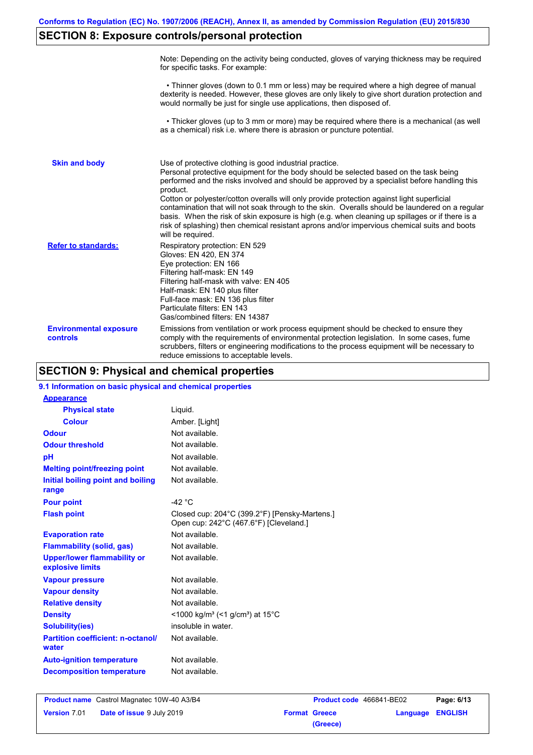# **SECTION 8: Exposure controls/personal protection**

|                                           | Note: Depending on the activity being conducted, gloves of varying thickness may be required<br>for specific tasks. For example:                                                                                                                                                                                                                                                                                                                                                                                                                                                                                                                                                      |
|-------------------------------------------|---------------------------------------------------------------------------------------------------------------------------------------------------------------------------------------------------------------------------------------------------------------------------------------------------------------------------------------------------------------------------------------------------------------------------------------------------------------------------------------------------------------------------------------------------------------------------------------------------------------------------------------------------------------------------------------|
|                                           | • Thinner gloves (down to 0.1 mm or less) may be required where a high degree of manual<br>dexterity is needed. However, these gloves are only likely to give short duration protection and<br>would normally be just for single use applications, then disposed of.                                                                                                                                                                                                                                                                                                                                                                                                                  |
|                                           | • Thicker gloves (up to 3 mm or more) may be required where there is a mechanical (as well<br>as a chemical) risk i.e. where there is abrasion or puncture potential.                                                                                                                                                                                                                                                                                                                                                                                                                                                                                                                 |
| <b>Skin and body</b>                      | Use of protective clothing is good industrial practice.<br>Personal protective equipment for the body should be selected based on the task being<br>performed and the risks involved and should be approved by a specialist before handling this<br>product.<br>Cotton or polyester/cotton overalls will only provide protection against light superficial<br>contamination that will not soak through to the skin. Overalls should be laundered on a regular<br>basis. When the risk of skin exposure is high (e.g. when cleaning up spillages or if there is a<br>risk of splashing) then chemical resistant aprons and/or impervious chemical suits and boots<br>will be required. |
| <b>Refer to standards:</b>                | Respiratory protection: EN 529<br>Gloves: EN 420, EN 374<br>Eye protection: EN 166<br>Filtering half-mask: EN 149<br>Filtering half-mask with valve: EN 405<br>Half-mask: EN 140 plus filter<br>Full-face mask: EN 136 plus filter<br>Particulate filters: EN 143<br>Gas/combined filters: EN 14387                                                                                                                                                                                                                                                                                                                                                                                   |
| <b>Environmental exposure</b><br>controls | Emissions from ventilation or work process equipment should be checked to ensure they<br>comply with the requirements of environmental protection legislation. In some cases, fume<br>scrubbers, filters or engineering modifications to the process equipment will be necessary to<br>reduce emissions to acceptable levels.                                                                                                                                                                                                                                                                                                                                                         |

# **SECTION 9: Physical and chemical properties**

| 9.1 Information on basic physical and chemical properties |                                                                                         |
|-----------------------------------------------------------|-----------------------------------------------------------------------------------------|
| <b>Appearance</b>                                         |                                                                                         |
| <b>Physical state</b>                                     | Liquid.                                                                                 |
| <b>Colour</b>                                             | Amber. [Light]                                                                          |
| <b>Odour</b>                                              | Not available.                                                                          |
| <b>Odour threshold</b>                                    | Not available.                                                                          |
| pH                                                        | Not available.                                                                          |
| <b>Melting point/freezing point</b>                       | Not available.                                                                          |
| Initial boiling point and boiling<br>range                | Not available.                                                                          |
| <b>Pour point</b>                                         | -42 $\degree$ C                                                                         |
| <b>Flash point</b>                                        | Closed cup: 204°C (399.2°F) [Pensky-Martens.]<br>Open cup: 242°C (467.6°F) [Cleveland.] |
| <b>Evaporation rate</b>                                   | Not available.                                                                          |
| <b>Flammability (solid, gas)</b>                          | Not available.                                                                          |
| <b>Upper/lower flammability or</b><br>explosive limits    | Not available.                                                                          |
| <b>Vapour pressure</b>                                    | Not available.                                                                          |
| <b>Vapour density</b>                                     | Not available.                                                                          |
| <b>Relative density</b>                                   | Not available.                                                                          |
| <b>Density</b>                                            | <1000 kg/m <sup>3</sup> (<1 g/cm <sup>3</sup> ) at 15 <sup>°</sup> C                    |
| <b>Solubility(ies)</b>                                    | insoluble in water.                                                                     |
| <b>Partition coefficient: n-octanol/</b><br>water         | Not available.                                                                          |
| <b>Auto-ignition temperature</b>                          | Not available.                                                                          |
| <b>Decomposition temperature</b>                          | Not available.                                                                          |
|                                                           |                                                                                         |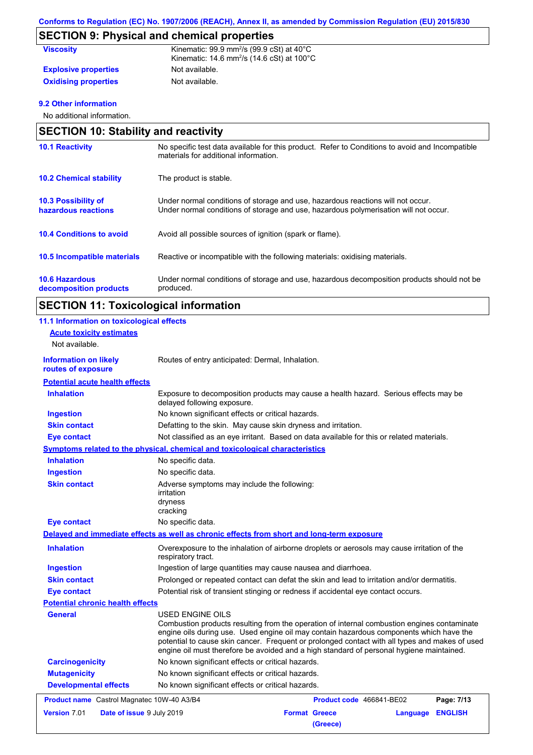# **SECTION 9: Physical and chemical properties**

| <b>Viscosity</b>            | Kinematic: $99.9$ mm <sup>2</sup> /s ( $99.9$ cSt) at $40^{\circ}$ C<br>Kinematic: 14.6 mm <sup>2</sup> /s (14.6 cSt) at $100^{\circ}$ C |
|-----------------------------|------------------------------------------------------------------------------------------------------------------------------------------|
| <b>Explosive properties</b> | Not available.                                                                                                                           |
| <b>Oxidising properties</b> | Not available.                                                                                                                           |

## **9.2 Other information**

No additional information.

| <b>SECTION 10: Stability and reactivity</b>       |                                                                                                                                                                         |  |  |  |
|---------------------------------------------------|-------------------------------------------------------------------------------------------------------------------------------------------------------------------------|--|--|--|
| <b>10.1 Reactivity</b>                            | No specific test data available for this product. Refer to Conditions to avoid and Incompatible<br>materials for additional information.                                |  |  |  |
| <b>10.2 Chemical stability</b>                    | The product is stable.                                                                                                                                                  |  |  |  |
| <b>10.3 Possibility of</b><br>hazardous reactions | Under normal conditions of storage and use, hazardous reactions will not occur.<br>Under normal conditions of storage and use, hazardous polymerisation will not occur. |  |  |  |
| <b>10.4 Conditions to avoid</b>                   | Avoid all possible sources of ignition (spark or flame).                                                                                                                |  |  |  |
| 10.5 Incompatible materials                       | Reactive or incompatible with the following materials: oxidising materials.                                                                                             |  |  |  |
| <b>10.6 Hazardous</b><br>decomposition products   | Under normal conditions of storage and use, hazardous decomposition products should not be<br>produced.                                                                 |  |  |  |

# **SECTION 11: Toxicological information**

| 11.1 Information on toxicological effects               |                                                                                                                                                                                                                                                                                                                                                                                                          |
|---------------------------------------------------------|----------------------------------------------------------------------------------------------------------------------------------------------------------------------------------------------------------------------------------------------------------------------------------------------------------------------------------------------------------------------------------------------------------|
| <b>Acute toxicity estimates</b>                         |                                                                                                                                                                                                                                                                                                                                                                                                          |
| Not available.                                          |                                                                                                                                                                                                                                                                                                                                                                                                          |
| <b>Information on likely</b><br>routes of exposure      | Routes of entry anticipated: Dermal, Inhalation.                                                                                                                                                                                                                                                                                                                                                         |
| <b>Potential acute health effects</b>                   |                                                                                                                                                                                                                                                                                                                                                                                                          |
| <b>Inhalation</b>                                       | Exposure to decomposition products may cause a health hazard. Serious effects may be<br>delayed following exposure.                                                                                                                                                                                                                                                                                      |
| <b>Ingestion</b>                                        | No known significant effects or critical hazards.                                                                                                                                                                                                                                                                                                                                                        |
| <b>Skin contact</b>                                     | Defatting to the skin. May cause skin dryness and irritation.                                                                                                                                                                                                                                                                                                                                            |
| <b>Eye contact</b>                                      | Not classified as an eye irritant. Based on data available for this or related materials.                                                                                                                                                                                                                                                                                                                |
|                                                         | Symptoms related to the physical, chemical and toxicological characteristics                                                                                                                                                                                                                                                                                                                             |
| <b>Inhalation</b>                                       | No specific data.                                                                                                                                                                                                                                                                                                                                                                                        |
| <b>Ingestion</b>                                        | No specific data.                                                                                                                                                                                                                                                                                                                                                                                        |
| <b>Skin contact</b>                                     | Adverse symptoms may include the following:<br>irritation<br>dryness<br>cracking                                                                                                                                                                                                                                                                                                                         |
| <b>Eye contact</b>                                      | No specific data.                                                                                                                                                                                                                                                                                                                                                                                        |
|                                                         | Delayed and immediate effects as well as chronic effects from short and long-term exposure                                                                                                                                                                                                                                                                                                               |
| <b>Inhalation</b>                                       | Overexposure to the inhalation of airborne droplets or aerosols may cause irritation of the<br>respiratory tract.                                                                                                                                                                                                                                                                                        |
| <b>Ingestion</b>                                        | Ingestion of large quantities may cause nausea and diarrhoea.                                                                                                                                                                                                                                                                                                                                            |
| <b>Skin contact</b>                                     | Prolonged or repeated contact can defat the skin and lead to irritation and/or dermatitis.                                                                                                                                                                                                                                                                                                               |
| <b>Eye contact</b>                                      | Potential risk of transient stinging or redness if accidental eye contact occurs.                                                                                                                                                                                                                                                                                                                        |
| <b>Potential chronic health effects</b>                 |                                                                                                                                                                                                                                                                                                                                                                                                          |
| General                                                 | USED ENGINE OILS<br>Combustion products resulting from the operation of internal combustion engines contaminate<br>engine oils during use. Used engine oil may contain hazardous components which have the<br>potential to cause skin cancer. Frequent or prolonged contact with all types and makes of used<br>engine oil must therefore be avoided and a high standard of personal hygiene maintained. |
| <b>Carcinogenicity</b>                                  | No known significant effects or critical hazards.                                                                                                                                                                                                                                                                                                                                                        |
| <b>Mutagenicity</b>                                     | No known significant effects or critical hazards.                                                                                                                                                                                                                                                                                                                                                        |
| <b>Developmental effects</b>                            | No known significant effects or critical hazards.                                                                                                                                                                                                                                                                                                                                                        |
| <b>Product name</b> Castrol Magnatec 10W-40 A3/B4       | Product code 466841-BE02<br>Page: 7/13                                                                                                                                                                                                                                                                                                                                                                   |
| <b>Version 7.01</b><br><b>Date of issue 9 July 2019</b> | <b>Format Greece</b><br><b>ENGLISH</b><br>Language<br>(Greece)                                                                                                                                                                                                                                                                                                                                           |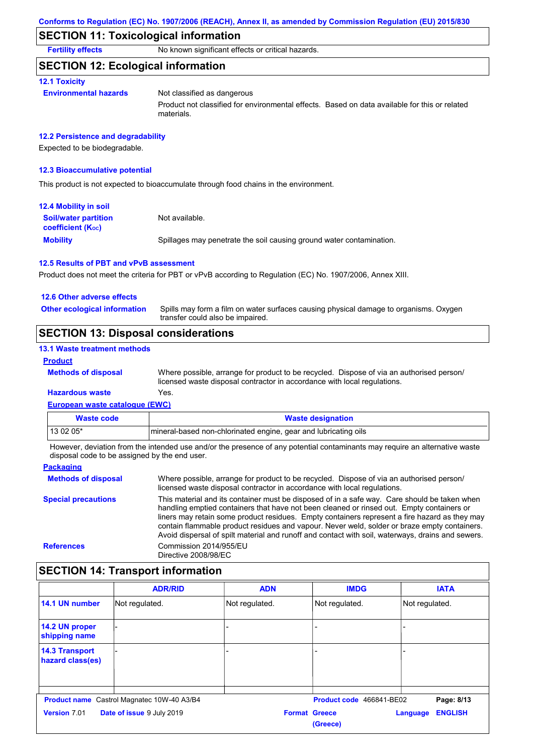## **SECTION 11: Toxicological information**

**Fertility effects** No known significant effects or critical hazards.

## **SECTION 12: Ecological information**

### **12.1 Toxicity**

**Environmental hazards** Not classified as dangerous

Product not classified for environmental effects. Based on data available for this or related materials.

### **12.2 Persistence and degradability**

Expected to be biodegradable.

#### **12.3 Bioaccumulative potential**

This product is not expected to bioaccumulate through food chains in the environment.

| <b>12.4 Mobility in soil</b>                            |                                                                      |
|---------------------------------------------------------|----------------------------------------------------------------------|
| <b>Soil/water partition</b><br><b>coefficient (Koc)</b> | Not available.                                                       |
| <b>Mobility</b>                                         | Spillages may penetrate the soil causing ground water contamination. |

#### **12.5 Results of PBT and vPvB assessment**

Product does not meet the criteria for PBT or vPvB according to Regulation (EC) No. 1907/2006, Annex XIII.

#### **12.6 Other adverse effects**

**Other ecological information**

Spills may form a film on water surfaces causing physical damage to organisms. Oxygen transfer could also be impaired.

## **SECTION 13: Disposal considerations**

## **13.1 Waste treatment methods**

### **Product**

Where possible, arrange for product to be recycled. Dispose of via an authorised person/ licensed waste disposal contractor in accordance with local regulations.

# **Hazardous waste** Yes.

**Methods of disposal**

| European waste catalogue (EWC) |                                                                  |  |  |  |
|--------------------------------|------------------------------------------------------------------|--|--|--|
| <b>Waste code</b>              | <b>Waste designation</b>                                         |  |  |  |
| 13 02 05*                      | Imineral-based non-chlorinated engine, gear and lubricating oils |  |  |  |

However, deviation from the intended use and/or the presence of any potential contaminants may require an alternative waste disposal code to be assigned by the end user.

#### **Packaging Methods of disposal Special precautions** Where possible, arrange for product to be recycled. Dispose of via an authorised person/ licensed waste disposal contractor in accordance with local regulations. This material and its container must be disposed of in a safe way. Care should be taken when handling emptied containers that have not been cleaned or rinsed out. Empty containers or liners may retain some product residues. Empty containers represent a fire hazard as they may contain flammable product residues and vapour. Never weld, solder or braze empty containers. Avoid dispersal of spilt material and runoff and contact with soil, waterways, drains and sewers. **References** Commission 2014/955/EU Directive 2008/98/EC

## **SECTION 14: Transport information**

|                                           | <b>ADR/RID</b>                                    | <b>ADN</b>           | <b>IMDG</b>              | <b>IATA</b>                |
|-------------------------------------------|---------------------------------------------------|----------------------|--------------------------|----------------------------|
| 14.1 UN number                            | Not regulated.                                    | Not regulated.       | Not regulated.           | Not regulated.             |
| 14.2 UN proper<br>shipping name           |                                                   |                      |                          |                            |
| <b>14.3 Transport</b><br>hazard class(es) |                                                   |                      |                          |                            |
|                                           | <b>Product name</b> Castrol Magnatec 10W-40 A3/B4 |                      | Product code 466841-BE02 | Page: 8/13                 |
| Version 7.01                              | Date of issue 9 July 2019                         | <b>Format Greece</b> | (Greece)                 | <b>ENGLISH</b><br>Language |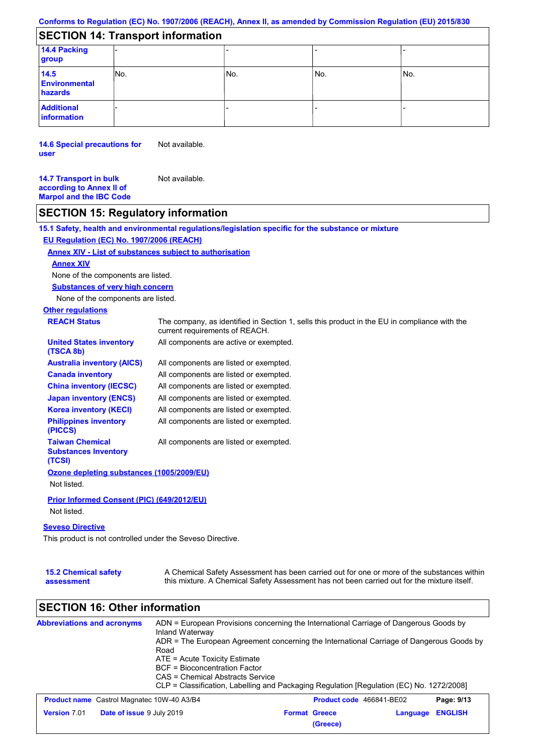# **SECTION 14: Transport information**

| 14.4 Packing<br>group                   |      |     |       |     |  |
|-----------------------------------------|------|-----|-------|-----|--|
| 14.5<br><b>Environmental</b><br>hazards | INo. | No. | l No. | No. |  |
| <b>Additional</b><br>information        |      |     |       |     |  |

**14.6 Special precautions for user** Not available.

**14.7 Transport in bulk according to Annex II of Marpol and the IBC Code** Not available.

# **SECTION 15: Regulatory information**

**15.1 Safety, health and environmental regulations/legislation specific for the substance or mixture**

## **EU Regulation (EC) No. 1907/2006 (REACH)**

## **Annex XIV - List of substances subject to authorisation**

### **Annex XIV**

None of the components are listed.

**Substances of very high concern**

None of the components are listed.

# **Other regulations**

| <b>REACH Status</b>                                                    | The company, as identified in Section 1, sells this product in the EU in compliance with the<br>current requirements of REACH. |
|------------------------------------------------------------------------|--------------------------------------------------------------------------------------------------------------------------------|
| <b>United States inventory</b><br>(TSCA 8b)                            | All components are active or exempted.                                                                                         |
| <b>Australia inventory (AICS)</b>                                      | All components are listed or exempted.                                                                                         |
| <b>Canada inventory</b>                                                | All components are listed or exempted.                                                                                         |
| <b>China inventory (IECSC)</b>                                         | All components are listed or exempted.                                                                                         |
| <b>Japan inventory (ENCS)</b>                                          | All components are listed or exempted.                                                                                         |
| <b>Korea inventory (KECI)</b>                                          | All components are listed or exempted.                                                                                         |
| <b>Philippines inventory</b><br>(PICCS)                                | All components are listed or exempted.                                                                                         |
| <b>Taiwan Chemical</b><br><b>Substances Inventory</b><br>(TCSI)        | All components are listed or exempted.                                                                                         |
| Ozone depleting substances (1005/2009/EU)                              |                                                                                                                                |
| Not listed.                                                            |                                                                                                                                |
| Prior Informed Consent (PIC) (649/2012/EU)<br><b>Note that a start</b> |                                                                                                                                |

Not listed.

#### **Seveso Directive**

This product is not controlled under the Seveso Directive.

| <b>15.2 Chemical safety</b> | A Chemical Safety Assessment has been carried out for one or more of the substances within  |
|-----------------------------|---------------------------------------------------------------------------------------------|
| assessment                  | this mixture. A Chemical Safety Assessment has not been carried out for the mixture itself. |

# **SECTION 16: Other information**

| <b>Abbreviations and acronyms</b>                       | ADN = European Provisions concerning the International Carriage of Dangerous Goods by<br>Inland Waterway<br>ADR = The European Agreement concerning the International Carriage of Dangerous Goods by<br>Road<br>ATE = Acute Toxicity Estimate<br>BCF = Bioconcentration Factor<br>CAS = Chemical Abstracts Service<br>CLP = Classification, Labelling and Packaging Regulation [Regulation (EC) No. 1272/2008] |                                  |                          |                |
|---------------------------------------------------------|----------------------------------------------------------------------------------------------------------------------------------------------------------------------------------------------------------------------------------------------------------------------------------------------------------------------------------------------------------------------------------------------------------------|----------------------------------|--------------------------|----------------|
| <b>Product name</b> Castrol Magnatec 10W-40 A3/B4       |                                                                                                                                                                                                                                                                                                                                                                                                                |                                  | Product code 466841-BE02 | Page: 9/13     |
| <b>Version 7.01</b><br><b>Date of issue 9 July 2019</b> |                                                                                                                                                                                                                                                                                                                                                                                                                | <b>Format Greece</b><br>(Greece) | Language                 | <b>ENGLISH</b> |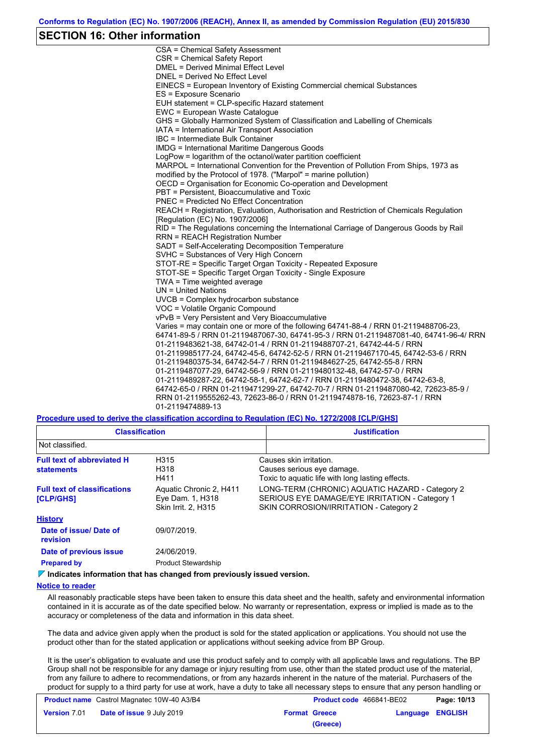## **SECTION 16: Other information**

CSA = Chemical Safety Assessment CSR = Chemical Safety Report DMEL = Derived Minimal Effect Level DNEL = Derived No Effect Level EINECS = European Inventory of Existing Commercial chemical Substances ES = Exposure Scenario EUH statement = CLP-specific Hazard statement EWC = European Waste Catalogue GHS = Globally Harmonized System of Classification and Labelling of Chemicals IATA = International Air Transport Association IBC = Intermediate Bulk Container IMDG = International Maritime Dangerous Goods LogPow = logarithm of the octanol/water partition coefficient MARPOL = International Convention for the Prevention of Pollution From Ships, 1973 as modified by the Protocol of 1978. ("Marpol" = marine pollution) OECD = Organisation for Economic Co-operation and Development PBT = Persistent, Bioaccumulative and Toxic PNEC = Predicted No Effect Concentration REACH = Registration, Evaluation, Authorisation and Restriction of Chemicals Regulation [Regulation (EC) No. 1907/2006] RID = The Regulations concerning the International Carriage of Dangerous Goods by Rail RRN = REACH Registration Number SADT = Self-Accelerating Decomposition Temperature SVHC = Substances of Very High Concern STOT-RE = Specific Target Organ Toxicity - Repeated Exposure STOT-SE = Specific Target Organ Toxicity - Single Exposure TWA = Time weighted average UN = United Nations UVCB = Complex hydrocarbon substance VOC = Volatile Organic Compound vPvB = Very Persistent and Very Bioaccumulative Varies = may contain one or more of the following 64741-88-4 / RRN 01-2119488706-23, 64741-89-5 / RRN 01-2119487067-30, 64741-95-3 / RRN 01-2119487081-40, 64741-96-4/ RRN 01-2119483621-38, 64742-01-4 / RRN 01-2119488707-21, 64742-44-5 / RRN 01-2119985177-24, 64742-45-6, 64742-52-5 / RRN 01-2119467170-45, 64742-53-6 / RRN 01-2119480375-34, 64742-54-7 / RRN 01-2119484627-25, 64742-55-8 / RRN 01-2119487077-29, 64742-56-9 / RRN 01-2119480132-48, 64742-57-0 / RRN 01-2119489287-22, 64742-58-1, 64742-62-7 / RRN 01-2119480472-38, 64742-63-8, 64742-65-0 / RRN 01-2119471299-27, 64742-70-7 / RRN 01-2119487080-42, 72623-85-9 / RRN 01-2119555262-43, 72623-86-0 / RRN 01-2119474878-16, 72623-87-1 / RRN 01-2119474889-13

**Procedure used to derive the classification according to Regulation (EC) No. 1272/2008 [CLP/GHS]**

| <b>Classification</b>                                   |                                                                                      | <b>Justification</b>                                                                                                                        |  |  |
|---------------------------------------------------------|--------------------------------------------------------------------------------------|---------------------------------------------------------------------------------------------------------------------------------------------|--|--|
| Not classified.                                         |                                                                                      |                                                                                                                                             |  |  |
| <b>Full text of abbreviated H</b><br><b>statements</b>  | H315<br>H318<br>H411                                                                 | Causes skin irritation.<br>Causes serious eye damage.<br>Toxic to aguatic life with long lasting effects.                                   |  |  |
| <b>Full text of classifications</b><br><b>[CLP/GHS]</b> | Aquatic Chronic 2, H411<br>Eye Dam. 1, H318<br>Skin Irrit. 2. H315                   | LONG-TERM (CHRONIC) AQUATIC HAZARD - Category 2<br>SERIOUS EYE DAMAGE/EYE IRRITATION - Category 1<br>SKIN CORROSION/IRRITATION - Category 2 |  |  |
| <b>History</b>                                          |                                                                                      |                                                                                                                                             |  |  |
| Date of issue/Date of<br>revision                       | 09/07/2019.                                                                          |                                                                                                                                             |  |  |
| Date of previous issue                                  | 24/06/2019.                                                                          |                                                                                                                                             |  |  |
| <b>Prepared by</b>                                      | <b>Product Stewardship</b>                                                           |                                                                                                                                             |  |  |
|                                                         | $\Box$ la disatas information that has above an if the monicular home is in the land |                                                                                                                                             |  |  |

**Indicates information that has changed from previously issued version.**

#### **Notice to reader**

All reasonably practicable steps have been taken to ensure this data sheet and the health, safety and environmental information contained in it is accurate as of the date specified below. No warranty or representation, express or implied is made as to the accuracy or completeness of the data and information in this data sheet.

The data and advice given apply when the product is sold for the stated application or applications. You should not use the product other than for the stated application or applications without seeking advice from BP Group.

It is the user's obligation to evaluate and use this product safely and to comply with all applicable laws and regulations. The BP Group shall not be responsible for any damage or injury resulting from use, other than the stated product use of the material, from any failure to adhere to recommendations, or from any hazards inherent in the nature of the material. Purchasers of the product for supply to a third party for use at work, have a duty to take all necessary steps to ensure that any person handling or

| <b>Product name</b> Castrol Magnatec 10W-40 A3/B4 |                                  |  | <b>Product code</b> 466841-BE02 | Page: 10/13      |  |
|---------------------------------------------------|----------------------------------|--|---------------------------------|------------------|--|
| <b>Version 7.01</b>                               | <b>Date of issue 9 July 2019</b> |  | <b>Format Greece</b>            | Language ENGLISH |  |
|                                                   |                                  |  | (Greece)                        |                  |  |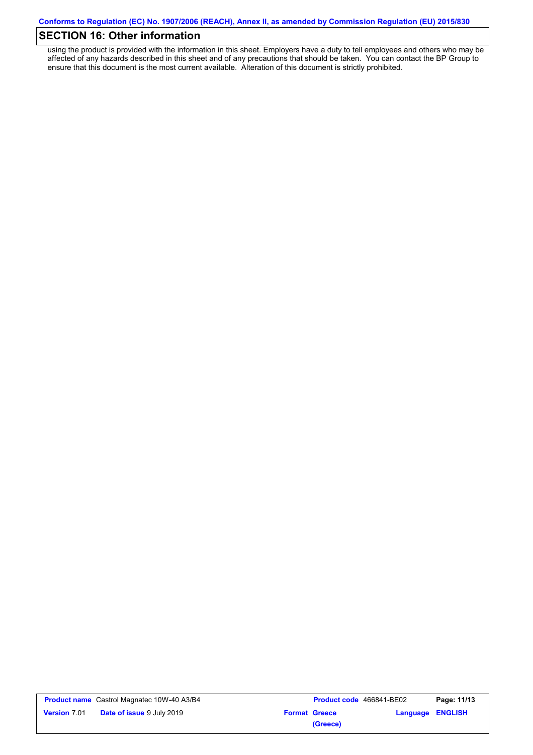# **SECTION 16: Other information**

using the product is provided with the information in this sheet. Employers have a duty to tell employees and others who may be affected of any hazards described in this sheet and of any precautions that should be taken. You can contact the BP Group to ensure that this document is the most current available. Alteration of this document is strictly prohibited.

|                     | <b>Product name</b> Castrol Magnatec 10W-40 A3/B4 |
|---------------------|---------------------------------------------------|
| <b>Version 7.01</b> | <b>Date of issue 9 July 2019</b>                  |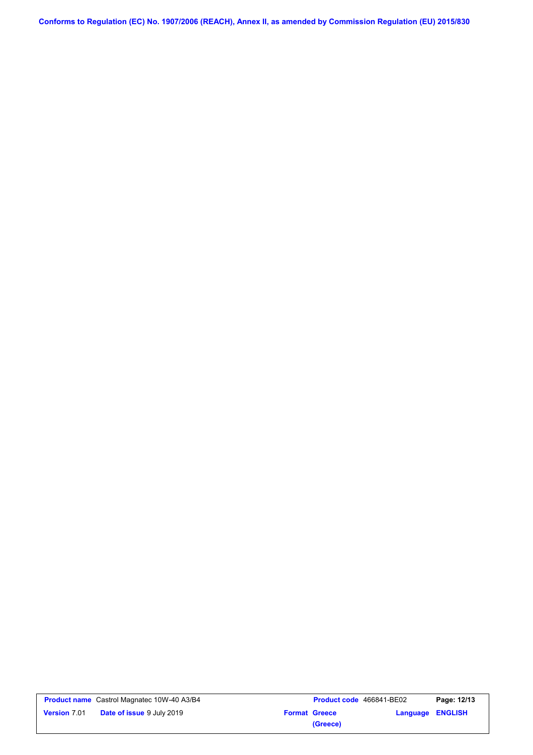**Conforms to Regulation (EC) No. 1907/2006 (REACH), Annex II, as amended by Commission Regulation (EU) 2015/830**

|                     | <b>Product name</b> Castrol Magnatec 10W-40 A3/B4 |
|---------------------|---------------------------------------------------|
| <b>Version 7.01</b> | <b>Date of issue 9 July 2019</b>                  |